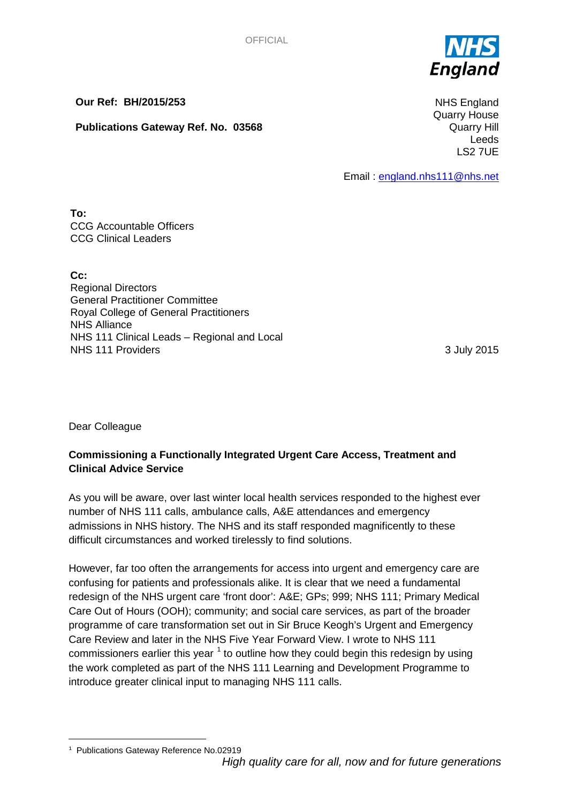

**Our Ref: BH/2015/253**

**Publications Gateway Ref. No. 03568**

NHS England Quarry House Quarry Hill Leeds LS2 7UE

Email : [england.nhs111@nhs.net](mailto:england.nhs111@nhs.net)

**To:** CCG Accountable Officers CCG Clinical Leaders

**Cc:** Regional Directors General Practitioner Committee Royal College of General Practitioners NHS Alliance NHS 111 Clinical Leads – Regional and Local NHS 111 Providers 3 July 2015

Dear Colleague

# **Commissioning a Functionally Integrated Urgent Care Access, Treatment and Clinical Advice Service**

As you will be aware, over last winter local health services responded to the highest ever number of NHS 111 calls, ambulance calls, A&E attendances and emergency admissions in NHS history. The NHS and its staff responded magnificently to these difficult circumstances and worked tirelessly to find solutions.

However, far too often the arrangements for access into urgent and emergency care are confusing for patients and professionals alike. It is clear that we need a fundamental redesign of the NHS urgent care 'front door': A&E; GPs; 999; NHS 111; Primary Medical Care Out of Hours (OOH); community; and social care services, as part of the broader programme of care transformation set out in Sir Bruce Keogh's Urgent and Emergency Care Review and later in the NHS Five Year Forward View. I wrote to NHS 111 commissioners earlier this year  $1$  to outline how they could begin this redesign by using the work completed as part of the NHS 111 Learning and Development Programme to introduce greater clinical input to managing NHS 111 calls.

<span id="page-0-1"></span><span id="page-0-0"></span>*High quality care for all, now and for future generations* — <sup>1</sup> Publications Gateway Reference No.02919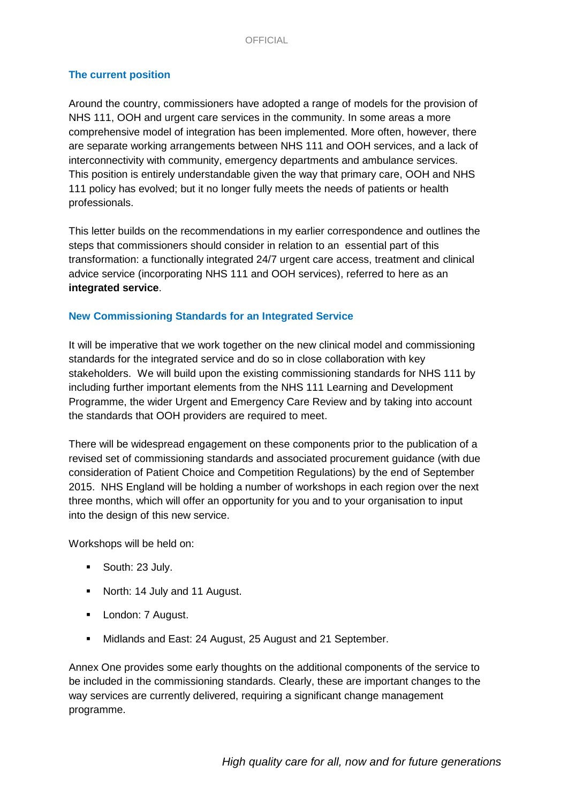### **The current position**

Around the country, commissioners have adopted a range of models for the provision of NHS 111, OOH and urgent care services in the community. In some areas a more comprehensive model of integration has been implemented. More often, however, there are separate working arrangements between NHS 111 and OOH services, and a lack of interconnectivity with community, emergency departments and ambulance services. This position is entirely understandable given the way that primary care, OOH and NHS 111 policy has evolved; but it no longer fully meets the needs of patients or health professionals.

This letter builds on the recommendations in my earlier correspondence and outlines the steps that commissioners should consider in relation to an essential part of this transformation: a functionally integrated 24/7 urgent care access, treatment and clinical advice service (incorporating NHS 111 and OOH services), referred to here as an **integrated service**.

### **New Commissioning Standards for an Integrated Service**

It will be imperative that we work together on the new clinical model and commissioning standards for the integrated service and do so in close collaboration with key stakeholders. We will build upon the existing commissioning standards for NHS 111 by including further important elements from the NHS 111 Learning and Development Programme, the wider Urgent and Emergency Care Review and by taking into account the standards that OOH providers are required to meet.

There will be widespread engagement on these components prior to the publication of a revised set of commissioning standards and associated procurement guidance (with due consideration of Patient Choice and Competition Regulations) by the end of September 2015. NHS England will be holding a number of workshops in each region over the next three months, which will offer an opportunity for you and to your organisation to input into the design of this new service.

Workshops will be held on:

- South: 23 July.
- North: 14 July and 11 August.
- **London: 7 August.**
- Midlands and East: 24 August, 25 August and 21 September.

Annex One provides some early thoughts on the additional components of the service to be included in the commissioning standards. Clearly, these are important changes to the way services are currently delivered, requiring a significant change management programme.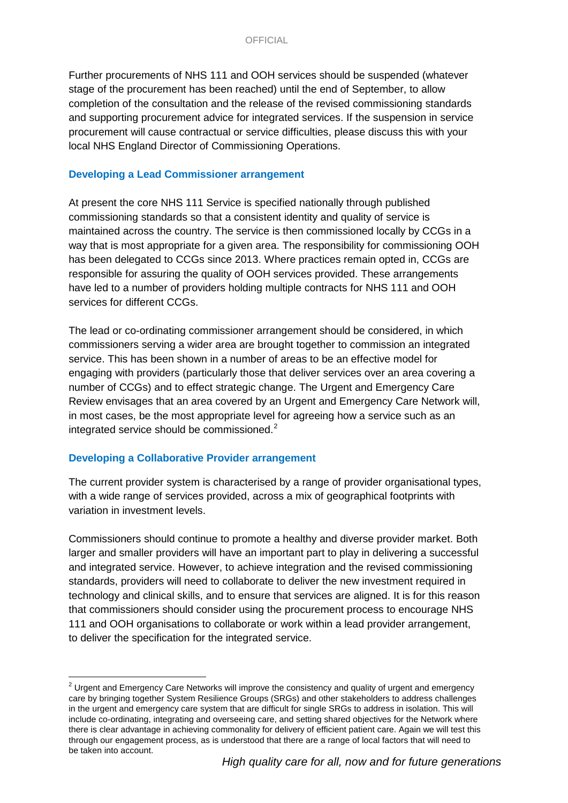Further procurements of NHS 111 and OOH services should be suspended (whatever stage of the procurement has been reached) until the end of September, to allow completion of the consultation and the release of the revised commissioning standards and supporting procurement advice for integrated services. If the suspension in service procurement will cause contractual or service difficulties, please discuss this with your local NHS England Director of Commissioning Operations.

#### **Developing a Lead Commissioner arrangement**

At present the core NHS 111 Service is specified nationally through published commissioning standards so that a consistent identity and quality of service is maintained across the country. The service is then commissioned locally by CCGs in a way that is most appropriate for a given area. The responsibility for commissioning OOH has been delegated to CCGs since 2013. Where practices remain opted in, CCGs are responsible for assuring the quality of OOH services provided. These arrangements have led to a number of providers holding multiple contracts for NHS 111 and OOH services for different CCGs.

The lead or co-ordinating commissioner arrangement should be considered, in which commissioners serving a wider area are brought together to commission an integrated service. This has been shown in a number of areas to be an effective model for engaging with providers (particularly those that deliver services over an area covering a number of CCGs) and to effect strategic change. The Urgent and Emergency Care Review envisages that an area covered by an Urgent and Emergency Care Network will, in most cases, be the most appropriate level for agreeing how a service such as an integrated service should be commissioned. $2^2$  $2^2$ 

### **Developing a Collaborative Provider arrangement**

The current provider system is characterised by a range of provider organisational types, with a wide range of services provided, across a mix of geographical footprints with variation in investment levels.

Commissioners should continue to promote a healthy and diverse provider market. Both larger and smaller providers will have an important part to play in delivering a successful and integrated service. However, to achieve integration and the revised commissioning standards, providers will need to collaborate to deliver the new investment required in technology and clinical skills, and to ensure that services are aligned. It is for this reason that commissioners should consider using the procurement process to encourage NHS 111 and OOH organisations to collaborate or work within a lead provider arrangement, to deliver the specification for the integrated service.

 $\overline{a}$  $2$  Urgent and Emergency Care Networks will improve the consistency and quality of urgent and emergency care by bringing together System Resilience Groups (SRGs) and other stakeholders to address challenges in the urgent and emergency care system that are difficult for single SRGs to address in isolation. This will include co-ordinating, integrating and overseeing care, and setting shared objectives for the Network where there is clear advantage in achieving commonality for delivery of efficient patient care. Again we will test this through our engagement process, as is understood that there are a range of local factors that will need to be taken into account.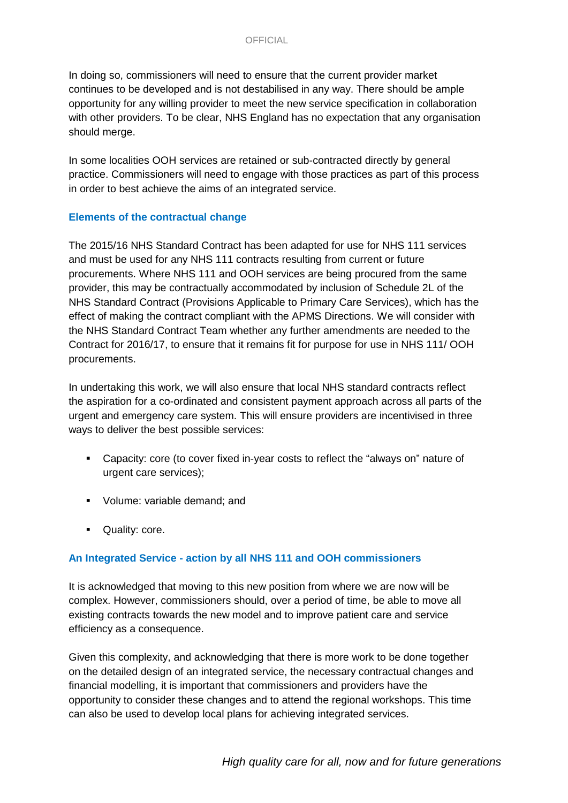In doing so, commissioners will need to ensure that the current provider market continues to be developed and is not destabilised in any way. There should be ample opportunity for any willing provider to meet the new service specification in collaboration with other providers. To be clear, NHS England has no expectation that any organisation should merge.

In some localities OOH services are retained or sub-contracted directly by general practice. Commissioners will need to engage with those practices as part of this process in order to best achieve the aims of an integrated service.

### **Elements of the contractual change**

The 2015/16 NHS Standard Contract has been adapted for use for NHS 111 services and must be used for any NHS 111 contracts resulting from current or future procurements. Where NHS 111 and OOH services are being procured from the same provider, this may be contractually accommodated by inclusion of Schedule 2L of the NHS Standard Contract (Provisions Applicable to Primary Care Services), which has the effect of making the contract compliant with the APMS Directions. We will consider with the NHS Standard Contract Team whether any further amendments are needed to the Contract for 2016/17, to ensure that it remains fit for purpose for use in NHS 111/ OOH procurements.

In undertaking this work, we will also ensure that local NHS standard contracts reflect the aspiration for a co-ordinated and consistent payment approach across all parts of the urgent and emergency care system. This will ensure providers are incentivised in three ways to deliver the best possible services:

- Capacity: core (to cover fixed in-year costs to reflect the "always on" nature of urgent care services);
- Volume: variable demand; and
- **Quality: core.**

### **An Integrated Service - action by all NHS 111 and OOH commissioners**

It is acknowledged that moving to this new position from where we are now will be complex. However, commissioners should, over a period of time, be able to move all existing contracts towards the new model and to improve patient care and service efficiency as a consequence.

Given this complexity, and acknowledging that there is more work to be done together on the detailed design of an integrated service, the necessary contractual changes and financial modelling, it is important that commissioners and providers have the opportunity to consider these changes and to attend the regional workshops. This time can also be used to develop local plans for achieving integrated services.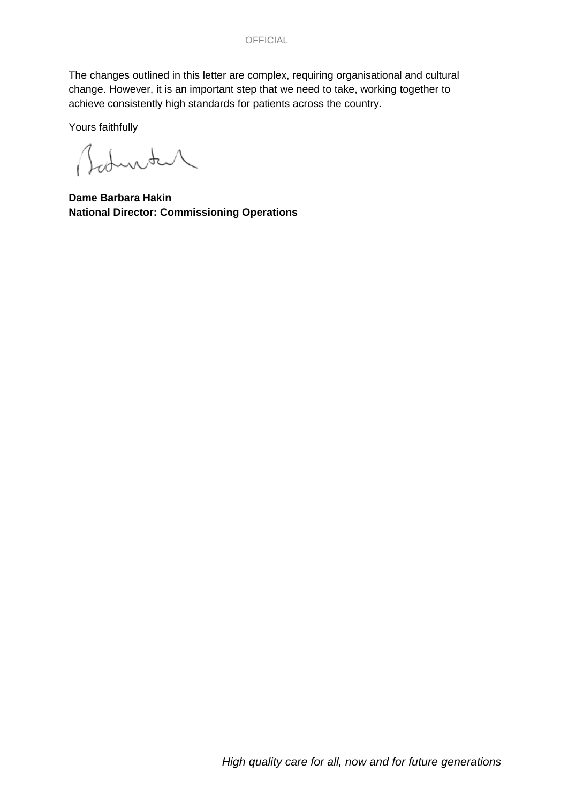The changes outlined in this letter are complex, requiring organisational and cultural change. However, it is an important step that we need to take, working together to achieve consistently high standards for patients across the country.

Yours faithfully

Baturtur

**Dame Barbara Hakin National Director: Commissioning Operations**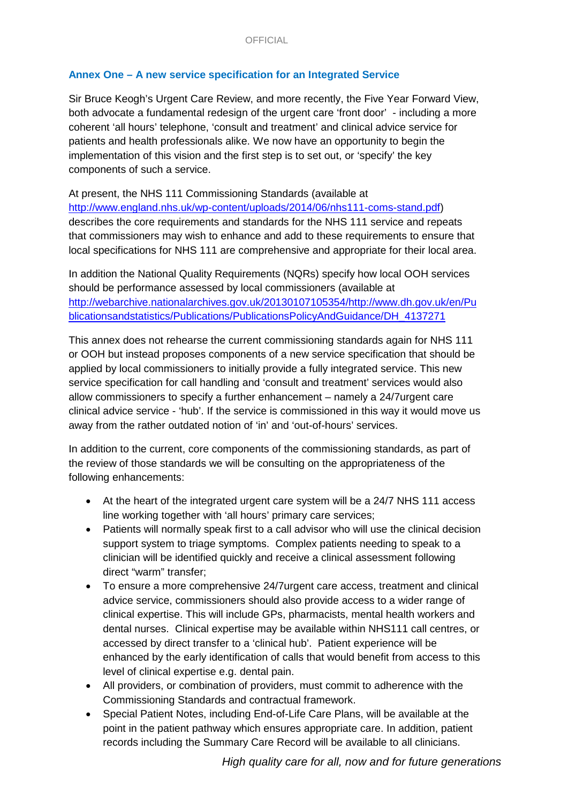# **Annex One – A new service specification for an Integrated Service**

Sir Bruce Keogh's Urgent Care Review, and more recently, the Five Year Forward View, both advocate a fundamental redesign of the urgent care 'front door' - including a more coherent 'all hours' telephone, 'consult and treatment' and clinical advice service for patients and health professionals alike. We now have an opportunity to begin the implementation of this vision and the first step is to set out, or 'specify' the key components of such a service.

At present, the NHS 111 Commissioning Standards (available at [http://www.england.nhs.uk/wp-content/uploads/2014/06/nhs111-coms-stand.pdf\)](http://www.england.nhs.uk/wp-content/uploads/2014/06/nhs111-coms-stand.pdf) describes the core requirements and standards for the NHS 111 service and repeats that commissioners may wish to enhance and add to these requirements to ensure that local specifications for NHS 111 are comprehensive and appropriate for their local area.

In addition the National Quality Requirements (NQRs) specify how local OOH services should be performance assessed by local commissioners (available at [http://webarchive.nationalarchives.gov.uk/20130107105354/http://www.dh.gov.uk/en/Pu](http://webarchive.nationalarchives.gov.uk/20130107105354/http:/www.dh.gov.uk/en/Publicationsandstatistics/Publications/PublicationsPolicyAndGuidance/DH_4137271) [blicationsandstatistics/Publications/PublicationsPolicyAndGuidance/DH\\_4137271](http://webarchive.nationalarchives.gov.uk/20130107105354/http:/www.dh.gov.uk/en/Publicationsandstatistics/Publications/PublicationsPolicyAndGuidance/DH_4137271)

This annex does not rehearse the current commissioning standards again for NHS 111 or OOH but instead proposes components of a new service specification that should be applied by local commissioners to initially provide a fully integrated service. This new service specification for call handling and 'consult and treatment' services would also allow commissioners to specify a further enhancement – namely a 24/7urgent care clinical advice service - 'hub'. If the service is commissioned in this way it would move us away from the rather outdated notion of 'in' and 'out-of-hours' services.

In addition to the current, core components of the commissioning standards, as part of the review of those standards we will be consulting on the appropriateness of the following enhancements:

- At the heart of the integrated urgent care system will be a 24/7 NHS 111 access line working together with 'all hours' primary care services;
- Patients will normally speak first to a call advisor who will use the clinical decision support system to triage symptoms. Complex patients needing to speak to a clinician will be identified quickly and receive a clinical assessment following direct "warm" transfer;
- To ensure a more comprehensive 24/7urgent care access, treatment and clinical advice service, commissioners should also provide access to a wider range of clinical expertise. This will include GPs, pharmacists, mental health workers and dental nurses. Clinical expertise may be available within NHS111 call centres, or accessed by direct transfer to a 'clinical hub'. Patient experience will be enhanced by the early identification of calls that would benefit from access to this level of clinical expertise e.g. dental pain.
- All providers, or combination of providers, must commit to adherence with the Commissioning Standards and contractual framework.
- Special Patient Notes, including End-of-Life Care Plans, will be available at the point in the patient pathway which ensures appropriate care. In addition, patient records including the Summary Care Record will be available to all clinicians.